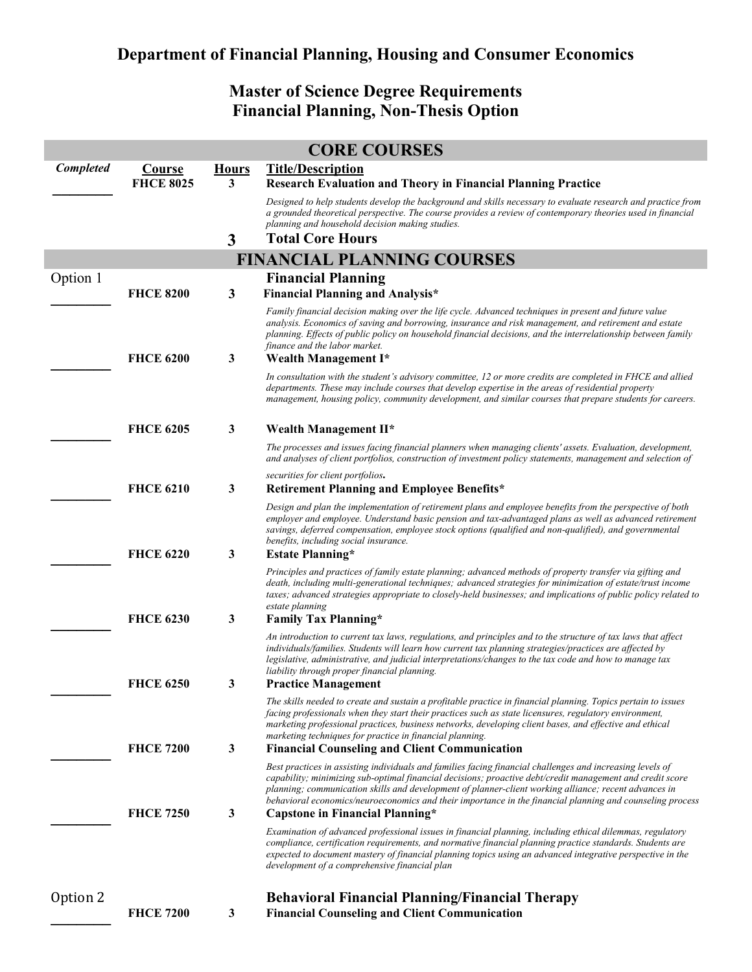## **Department of Financial Planning, Housing and Consumer Economics**

## **Master of Science Degree Requirements Financial Planning, Non-Thesis Option**

| <b>CORE COURSES</b>               |                  |              |                                                                                                                                                                                                                                                                                                                                                                                                                                              |  |  |
|-----------------------------------|------------------|--------------|----------------------------------------------------------------------------------------------------------------------------------------------------------------------------------------------------------------------------------------------------------------------------------------------------------------------------------------------------------------------------------------------------------------------------------------------|--|--|
| Completed                         | <b>Course</b>    | <b>Hours</b> | <b>Title/Description</b>                                                                                                                                                                                                                                                                                                                                                                                                                     |  |  |
|                                   | <b>FHCE 8025</b> | 3            | <b>Research Evaluation and Theory in Financial Planning Practice</b>                                                                                                                                                                                                                                                                                                                                                                         |  |  |
|                                   |                  |              | Designed to help students develop the background and skills necessary to evaluate research and practice from<br>a grounded theoretical perspective. The course provides a review of contemporary theories used in financial<br>planning and household decision making studies.                                                                                                                                                               |  |  |
|                                   |                  | 3            | <b>Total Core Hours</b>                                                                                                                                                                                                                                                                                                                                                                                                                      |  |  |
| <b>FINANCIAL PLANNING COURSES</b> |                  |              |                                                                                                                                                                                                                                                                                                                                                                                                                                              |  |  |
| Option 1                          |                  |              | <b>Financial Planning</b>                                                                                                                                                                                                                                                                                                                                                                                                                    |  |  |
|                                   | <b>FHCE 8200</b> | $\mathbf{3}$ | <b>Financial Planning and Analysis*</b>                                                                                                                                                                                                                                                                                                                                                                                                      |  |  |
|                                   | <b>FHCE 6200</b> | 3            | Family financial decision making over the life cycle. Advanced techniques in present and future value<br>analysis. Economics of saving and borrowing, insurance and risk management, and retirement and estate<br>planning. Effects of public policy on household financial decisions, and the interrelationship between family<br>finance and the labor market.<br>Wealth Management I*                                                     |  |  |
|                                   |                  |              | In consultation with the student's advisory committee, 12 or more credits are completed in FHCE and allied                                                                                                                                                                                                                                                                                                                                   |  |  |
|                                   |                  |              | departments. These may include courses that develop expertise in the areas of residential property<br>management, housing policy, community development, and similar courses that prepare students for careers.                                                                                                                                                                                                                              |  |  |
|                                   | <b>FHCE 6205</b> | 3            | Wealth Management II*                                                                                                                                                                                                                                                                                                                                                                                                                        |  |  |
|                                   |                  |              | The processes and issues facing financial planners when managing clients' assets. Evaluation, development,<br>and analyses of client portfolios, construction of investment policy statements, management and selection of                                                                                                                                                                                                                   |  |  |
|                                   |                  |              | securities for client portfolios.                                                                                                                                                                                                                                                                                                                                                                                                            |  |  |
|                                   | <b>FHCE 6210</b> | 3            | Retirement Planning and Employee Benefits*                                                                                                                                                                                                                                                                                                                                                                                                   |  |  |
|                                   |                  |              | Design and plan the implementation of retirement plans and employee benefits from the perspective of both<br>employer and employee. Understand basic pension and tax-advantaged plans as well as advanced retirement<br>savings, deferred compensation, employee stock options (qualified and non-qualified), and governmental<br>benefits, including social insurance.                                                                      |  |  |
|                                   | <b>FHCE 6220</b> | 3            | <b>Estate Planning*</b>                                                                                                                                                                                                                                                                                                                                                                                                                      |  |  |
|                                   |                  |              | Principles and practices of family estate planning; advanced methods of property transfer via gifting and<br>death, including multi-generational techniques; advanced strategies for minimization of estate/trust income<br>taxes; advanced strategies appropriate to closely-held businesses; and implications of public policy related to<br>estate planning                                                                               |  |  |
|                                   | <b>FHCE 6230</b> | 3            | <b>Family Tax Planning*</b>                                                                                                                                                                                                                                                                                                                                                                                                                  |  |  |
|                                   |                  |              | An introduction to current tax laws, regulations, and principles and to the structure of tax laws that affect<br>individuals/families. Students will learn how current tax planning strategies/practices are affected by<br>legislative, administrative, and judicial interpretations/changes to the tax code and how to manage tax<br>liability through proper financial planning.                                                          |  |  |
|                                   | <b>FHCE 6250</b> | 3            | <b>Practice Management</b>                                                                                                                                                                                                                                                                                                                                                                                                                   |  |  |
|                                   |                  |              | The skills needed to create and sustain a profitable practice in financial planning. Topics pertain to issues<br>facing professionals when they start their practices such as state licensures, regulatory environment,<br>marketing professional practices, business networks, developing client bases, and effective and ethical<br>marketing techniques for practice in financial planning.                                               |  |  |
|                                   | <b>FHCE 7200</b> | 3            | <b>Financial Counseling and Client Communication</b>                                                                                                                                                                                                                                                                                                                                                                                         |  |  |
|                                   |                  |              | Best practices in assisting individuals and families facing financial challenges and increasing levels of<br>capability; minimizing sub-optimal financial decisions; proactive debt/credit management and credit score<br>planning; communication skills and development of planner-client working alliance; recent advances in<br>behavioral economics/neuroeconomics and their importance in the financial planning and counseling process |  |  |
|                                   | <b>FHCE 7250</b> | 3            | Capstone in Financial Planning*                                                                                                                                                                                                                                                                                                                                                                                                              |  |  |
|                                   |                  |              | Examination of advanced professional issues in financial planning, including ethical dilemmas, regulatory<br>compliance, certification requirements, and normative financial planning practice standards. Students are<br>expected to document mastery of financial planning topics using an advanced integrative perspective in the<br>development of a comprehensive financial plan                                                        |  |  |
| Option 2                          |                  |              | <b>Behavioral Financial Planning/Financial Therapy</b>                                                                                                                                                                                                                                                                                                                                                                                       |  |  |
|                                   | <b>FHCE 7200</b> | $\mathbf{3}$ | <b>Financial Counseling and Client Communication</b>                                                                                                                                                                                                                                                                                                                                                                                         |  |  |